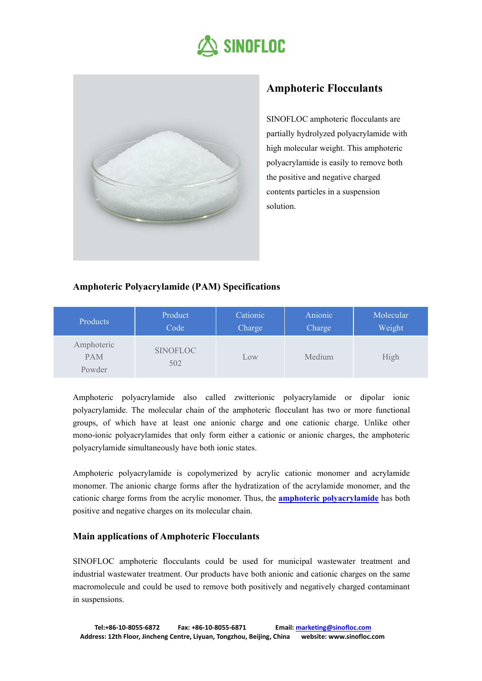



# **Amphoteric Flocculants**

SINOFLOC amphoteric flocculants are partially hydrolyzed polyacrylamide with high molecular weight. This amphoteric polyacrylamide is easily to remove both the positive and negative charged contents particles in a suspension solution.

# **Amphoteric Polyacrylamide (PAM) Specifications**

| Products                    | Product         | Cationic | Anionic | Molecular |
|-----------------------------|-----------------|----------|---------|-----------|
|                             | Code            | Charge   | Charge  | Weight    |
| Amphoteric<br>PAM<br>Powder | SINOFLOC<br>502 | Low      | Medium  | High      |

Amphoteric polyacrylamide also called zwitterionic polyacrylamide or dipolar ionic polyacrylamide. The molecular chain of the amphoteric flocculant has two or more functional groups, of which have at least one anionic charge and one cationic charge. Unlike other mono-ionic polyacrylamides that only form either a cationic or anionic charges, the amphoteric polyacrylamide simultaneously have both ionic states.

Amphoteric polyacrylamide is copolymerized by acrylic cationic monomer and acrylamide monomer. The anionic charge forms after the hydratization of the acrylamide monomer, and the cationic charge forms from the acrylic monomer. Thus, the **amphoteric [polyacrylamide](http://www.sinofloc.com/product/amphoteric-flocculants/)** has both positive and negative charges on its molecular chain.

# **Main applications ofAmphoteric Flocculants**

SINOFLOC amphoteric flocculants could be used for municipal wastewater treatment and industrial wastewater treatment. Our products have both anionic and cationic charges on the same macromolecule and could be used to remove both positively and negatively charged contaminant in suspensions.